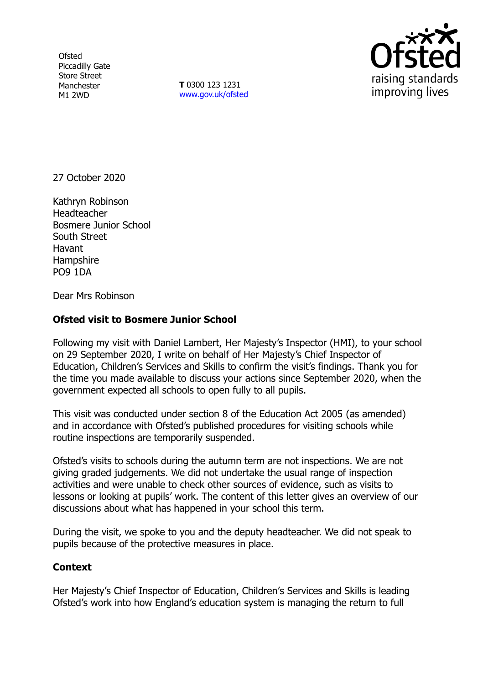**Ofsted** Piccadilly Gate Store Street Manchester M1 2WD

**T** 0300 123 1231 [www.gov.uk/ofsted](http://www.gov.uk/ofsted)



27 October 2020

Kathryn Robinson Headteacher Bosmere Junior School South Street Havant **Hampshire** PO9 1DA

Dear Mrs Robinson

## **Ofsted visit to Bosmere Junior School**

Following my visit with Daniel Lambert, Her Majesty's Inspector (HMI), to your school on 29 September 2020, I write on behalf of Her Majesty's Chief Inspector of Education, Children's Services and Skills to confirm the visit's findings. Thank you for the time you made available to discuss your actions since September 2020, when the government expected all schools to open fully to all pupils.

This visit was conducted under section 8 of the Education Act 2005 (as amended) and in accordance with Ofsted's published procedures for visiting schools while routine inspections are temporarily suspended.

Ofsted's visits to schools during the autumn term are not inspections. We are not giving graded judgements. We did not undertake the usual range of inspection activities and were unable to check other sources of evidence, such as visits to lessons or looking at pupils' work. The content of this letter gives an overview of our discussions about what has happened in your school this term.

During the visit, we spoke to you and the deputy headteacher. We did not speak to pupils because of the protective measures in place.

## **Context**

Her Majesty's Chief Inspector of Education, Children's Services and Skills is leading Ofsted's work into how England's education system is managing the return to full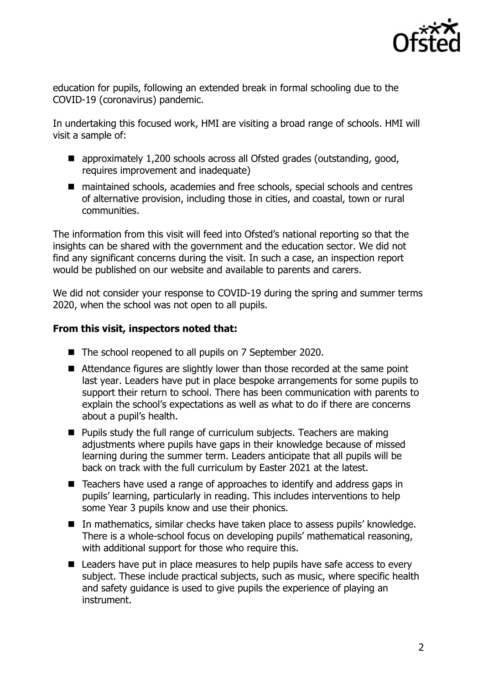

education for pupils, following an extended break in formal schooling due to the COVID-19 (coronavirus) pandemic.

In undertaking this focused work, HMI are visiting a broad range of schools. HMI will visit a sample of:

- approximately 1,200 schools across all Ofsted grades (outstanding, good, requires improvement and inadequate)
- maintained schools, academies and free schools, special schools and centres of alternative provision, including those in cities, and coastal, town or rural communities.

The information from this visit will feed into Ofsted's national reporting so that the insights can be shared with the government and the education sector. We did not find any significant concerns during the visit. In such a case, an inspection report would be published on our website and available to parents and carers.

We did not consider your response to COVID-19 during the spring and summer terms 2020, when the school was not open to all pupils.

## **From this visit, inspectors noted that:**

- The school reopened to all pupils on 7 September 2020.
- Attendance figures are slightly lower than those recorded at the same point last year. Leaders have put in place bespoke arrangements for some pupils to support their return to school. There has been communication with parents to explain the school's expectations as well as what to do if there are concerns about a pupil's health.
- $\blacksquare$  Pupils study the full range of curriculum subjects. Teachers are making adjustments where pupils have gaps in their knowledge because of missed learning during the summer term. Leaders anticipate that all pupils will be back on track with the full curriculum by Easter 2021 at the latest.
- Teachers have used a range of approaches to identify and address gaps in pupils' learning, particularly in reading. This includes interventions to help some Year 3 pupils know and use their phonics.
- In mathematics, similar checks have taken place to assess pupils' knowledge. There is a whole-school focus on developing pupils' mathematical reasoning, with additional support for those who require this.
- Leaders have put in place measures to help pupils have safe access to every subject. These include practical subjects, such as music, where specific health and safety guidance is used to give pupils the experience of playing an instrument.